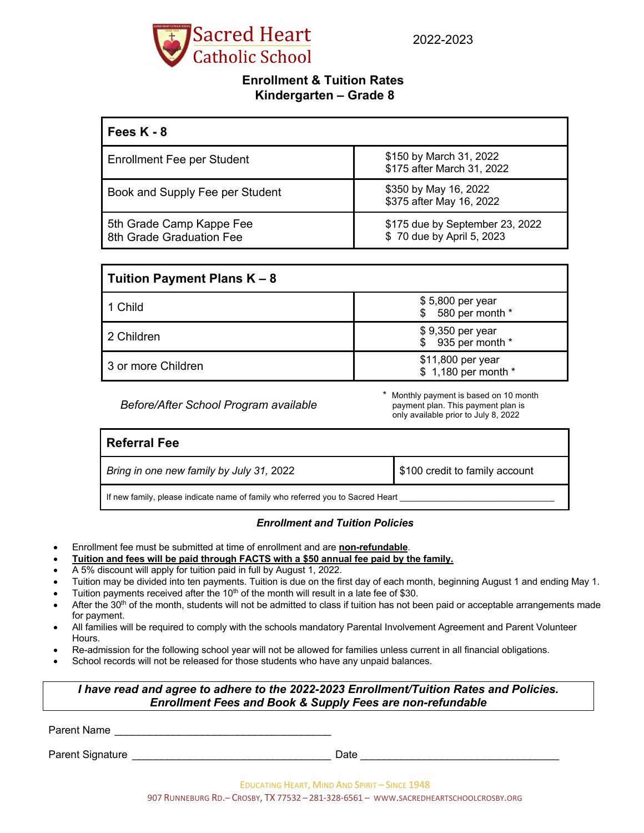

# **Enrollment & Tuition Rates Kindergarten – Grade 8**

| Fees $K - 8$                                         |                                                              |
|------------------------------------------------------|--------------------------------------------------------------|
| <b>Enrollment Fee per Student</b>                    | \$150 by March 31, 2022<br>\$175 after March 31, 2022        |
| Book and Supply Fee per Student                      | \$350 by May 16, 2022<br>\$375 after May 16, 2022            |
| 5th Grade Camp Kappe Fee<br>8th Grade Graduation Fee | \$175 due by September 23, 2022<br>\$70 due by April 5, 2023 |

| Tuition Payment Plans $K - 8$ |                                          |
|-------------------------------|------------------------------------------|
| 1 Child                       | \$5,800 per year<br>\$ 580 per month *   |
| 2 Children                    | \$9,350 per year<br>\$935 per month *    |
| 3 or more Children            | \$11,800 per year<br>\$1,180 per month * |

*Before/After School Program available*

\* Monthly payment is based on 10 month payment plan. This payment plan is only available prior to July 8, 2022

| Bring in one new family by July 31, 2022 | \$100 credit to family account |
|------------------------------------------|--------------------------------|

If new family, please indicate name of family who referred you to Sacred Heart

#### *Enrollment and Tuition Policies*

- Enrollment fee must be submitted at time of enrollment and are **non-refundable**.
- **Tuition and fees will be paid through FACTS with a \$50 annual fee paid by the family.**
- A 5% discount will apply for tuition paid in full by August 1, 2022.
- Tuition may be divided into ten payments. Tuition is due on the first day of each month, beginning August 1 and ending May 1.
- Tuition payments received after the  $10<sup>th</sup>$  of the month will result in a late fee of \$30.
- After the  $30<sup>th</sup>$  of the month, students will not be admitted to class if tuition has not been paid or acceptable arrangements made for payment.
- All families will be required to comply with the schools mandatory Parental Involvement Agreement and Parent Volunteer Hours.
- Re-admission for the following school year will not be allowed for families unless current in all financial obligations.
- School records will not be released for those students who have any unpaid balances.

## *I have read and agree to adhere to the 2022-2023 Enrollment/Tuition Rates and Policies. Enrollment Fees and Book & Supply Fees are non-refundable*

Parent Name \_\_\_\_\_\_\_\_\_\_\_\_\_\_\_\_\_\_\_\_\_\_\_\_\_\_\_\_\_\_\_\_\_\_\_\_\_

Parent Signature **Example 2** and the contract of the Date of the Date  $\Box$ 

EDUCATING HEART, MIND AND SPIRIT – SINCE 1948 907 RUNNEBURG RD.– CROSBY, TX 77532 – 281-328-6561 – WWW.SACREDHEARTSCHOOLCROSBY.ORG